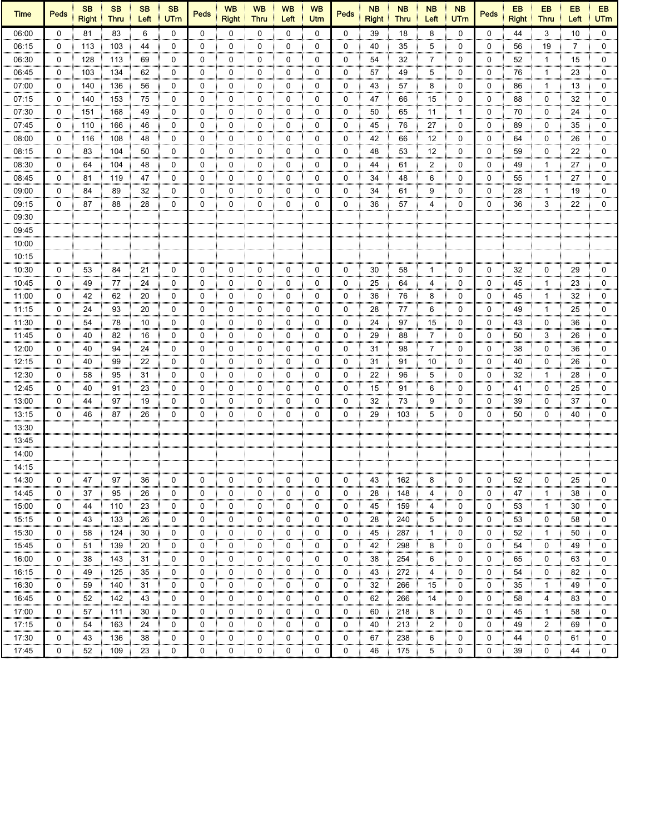| <b>Time</b> | <b>Peds</b>  | <b>SB</b><br><b>Right</b> | <b>SB</b><br><b>Thru</b> | <b>SB</b><br>Left | <b>SB</b><br><b>UTm</b> | <b>Peds</b> | <b>WB</b><br><b>Right</b> | <b>WB</b><br><b>Thru</b> | <b>WB</b><br>Left | <b>WB</b><br>Utrn | Peds     | <b>NB</b><br><b>Right</b> | <b>NB</b><br><b>Thru</b> | <b>NB</b><br>Left | <b>NB</b><br><b>UTm</b> | <b>Peds</b> | EB<br><b>Right</b> | EB<br><b>Thru</b> | EB<br>Left | EB<br><b>UTm</b> |
|-------------|--------------|---------------------------|--------------------------|-------------------|-------------------------|-------------|---------------------------|--------------------------|-------------------|-------------------|----------|---------------------------|--------------------------|-------------------|-------------------------|-------------|--------------------|-------------------|------------|------------------|
| 06:00       | $\mathbf{0}$ | 81                        | 83                       | 6                 | $\mathbf 0$             | $\mathbf 0$ | $\Omega$                  | 0                        | 0                 | 0                 | $\Omega$ | 39                        | 18                       | 8                 | $\mathbf{0}$            | $\Omega$    | 44                 | 3                 | 10         | $\mathbf 0$      |
| 06:15       | 0            | 113                       | 103                      | 44                | 0                       | 0           | 0                         | 0                        | 0                 | 0                 | 0        | 40                        | 35                       | 5                 | 0                       | 0           | 56                 | 19                | 7          | 0                |
| 06:30       | 0            | 128                       | 113                      | 69                | 0                       | 0           | 0                         | 0                        | 0                 | 0                 | 0        | 54                        | 32                       | 7                 | 0                       | 0           | 52                 | 1                 | 15         | 0                |
| 06:45       | 0            | 103                       | 134                      | 62                | 0                       | 0           | 0                         | 0                        | 0                 | 0                 | 0        | 57                        | 49                       | 5                 | 0                       | 0           | 76                 | $\mathbf{1}$      | 23         | 0                |
| 07:00       | 0            | 140                       | 136                      | 56                | $\mathbf 0$<br>,,,,,,   | 0           | 0                         | 0                        | 0                 | 0                 | 0        | 43                        | 57                       | 8                 | 0                       | 0           | 86                 | -1                | 13         | 0                |
| 07:15       | 0            | 140                       | 153                      | 75                | 0                       | 0           | 0                         | 0                        | 0                 | 0                 | 0        | 47                        | 66                       | 15                | 0                       | 0           | 88                 | 0                 | 32         | 0                |
| 07:30       | 0            | 151                       | 168                      | 49                | 0                       | 0           | 0                         | 0                        | 0                 | 0                 | 0        | 50                        | 65                       | 11                | 1                       | 0           | 70                 | 0                 | 24         | 0                |
| 07:45       | 0            | 110                       | 166                      | 46                | 0                       | 0           | 0                         | 0                        | 0                 | 0                 | 0        | 45                        | 76                       | 27                | 0                       | 0           | 89                 | 0                 | 35         | 0                |
| 08:00       | 0            | 116                       | 108                      | 48                | 0                       | 0           | 0                         | 0                        | 0                 | 0                 | 0        | 42                        | 66                       | 12                | 0                       | 0           | 64                 | 0                 | 26         | 0                |
| 08:15       | 0            | 83                        | 104                      | 50                | 0                       | 0           | 0                         | 0                        | 0                 | 0                 | 0        | 48                        | 53                       | 12                | 0                       | 0           | 59                 | 0                 | 22         | 0                |
| 08:30       | $\mathbf 0$  | 64                        | 104                      | 48                | $\mathbf 0$             | 0           | 0                         | 0                        | 0                 | 0                 | 0        | 44                        | 61                       | $\overline{2}$    | 0                       | 0           | 49                 | 1                 | 27         | 0                |
| 08:45       | 0            | 81                        | 119                      | 47                | 0                       | 0           | 0                         | 0                        | 0                 | 0                 | 0        | 34                        | 48                       | 6                 | 0                       | 0           | 55                 | $\mathbf{1}$      | 27         | $\mathbf 0$      |
| 09:00       | 0            | 84                        | 89                       | 32                | 0                       | 0           | 0                         | 0                        | 0                 | 0                 | 0        | 34                        | 61                       | 9                 | 0                       | 0           | 28                 | $\mathbf{1}$      | 19         | 0                |
| 09:15       | 0            | 87                        | 88                       | 28                | 0                       | 0           | 0                         | 0                        | 0                 | 0                 | 0        | 36                        | 57                       | 4                 | 0                       | 0           | 36                 | 3                 | 22         | 0                |
| 09:30       |              |                           |                          |                   |                         |             |                           |                          |                   |                   |          |                           |                          |                   |                         |             |                    |                   |            |                  |
| 09:45       |              |                           |                          |                   |                         |             |                           |                          |                   |                   |          |                           |                          |                   |                         |             |                    |                   |            |                  |
| 10:00       |              |                           |                          |                   |                         |             |                           |                          |                   |                   |          |                           |                          |                   |                         |             |                    |                   |            |                  |
| 10:15       |              |                           |                          |                   |                         |             |                           |                          |                   |                   |          |                           |                          |                   |                         |             |                    |                   |            |                  |
| 10:30       | 0            | 53                        | 84                       | 21                | 0                       | 0           | 0                         | 0                        | 0                 | 0                 | 0        | 30                        | 58                       | $\mathbf{1}$      | 0                       | 0           | 32                 | 0                 | 29         | 0                |
| 10:45       | 0            | 49                        | 77                       | 24                | 0                       | 0           | 0                         | 0                        | 0                 | 0                 | 0        | 25                        | 64                       | 4                 | 0                       | 0           | 45                 | -1                | 23         | 0                |
| 11:00       | 0            | 42                        | 62                       | 20                | 0                       | 0           | 0                         | 0                        | 0                 | 0                 | 0        | 36                        | 76                       | 8                 | 0                       | 0           | 45                 | $\mathbf{1}$      | 32         | 0                |
| 11:15       | 0            | 24                        | 93                       | 20                | 0                       | 0           | 0                         | 0                        | 0                 | 0                 | 0        | 28                        | 77                       | 6                 | 0                       | 0           | 49                 | 1                 | 25         | 0                |
| 11:30       | $\mathbf 0$  | 54                        | 78                       | 10                | $\mathbf 0$             | 0           | 0                         | 0                        | $\mathbf 0$       | 0                 | 0        | 24                        | 97                       | 15                | 0                       | 0           | 43                 | 0                 | 36         | 0                |
| 11:45       | 0            | 40                        | 82                       | 16                | 0                       | 0           | 0                         | 0                        | 0                 | 0                 | 0        | 29                        | 88                       | $\overline{7}$    | 0                       | 0           | 50                 | 3                 | 26         | 0                |
| 12:00       | 0            | 40                        | 94                       | 24                | 0                       | 0           | 0                         | 0                        | 0                 | 0                 | 0        | 31                        | 98                       | 7                 | 0                       | 0           | 38                 | 0                 | 36         | 0                |
| 12:15       | 0            | 40                        | 99                       | 22                | 0                       | 0           | 0                         | 0                        | 0                 | 0                 | 0        | 31                        | 91                       | 10                | 0                       | 0           | 40                 | 0                 | 26         | 0                |
| 12:30       | 0            | 58                        | 95                       | 31                | 0                       | 0           | 0                         | 0                        | 0                 | 0                 | 0        | 22                        | 96                       | 5                 | 0                       | 0           | 32                 | 1                 | 28         | 0                |
| 12:45       | 0            | 40                        | 91                       | 23                | 0                       | 0           | 0                         | 0                        | 0                 | 0                 | 0        | 15                        | 91                       | 6                 | 0                       | 0           | 41                 | 0                 | 25         | 0                |
| 13:00       | 0            | 44                        | 97                       | 19                | 0                       | 0           | 0                         | 0                        | 0                 | 0                 | 0        | 32                        | 73                       | 9                 | 0                       | 0           | 39                 | 0                 | 37         | 0                |
| 13:15       | 0            | 46                        | 87                       | 26                | 0                       | 0           | 0                         | 0                        | 0                 | 0                 | 0        | 29                        | 103                      | 5                 | 0                       | 0           | 50                 | 0                 | 40         | $\mathbf 0$      |
| 13:30       |              |                           |                          |                   |                         |             |                           |                          |                   |                   |          |                           |                          |                   |                         |             |                    |                   |            |                  |
|             |              |                           |                          |                   |                         |             |                           |                          |                   |                   |          |                           |                          |                   |                         |             |                    |                   |            |                  |
| 13:45       |              |                           |                          |                   |                         |             |                           |                          |                   |                   |          |                           |                          |                   |                         |             |                    |                   |            |                  |
| 14:00       |              |                           |                          |                   |                         |             |                           |                          |                   |                   |          |                           |                          |                   |                         |             |                    |                   |            |                  |
| 14:15       |              |                           |                          |                   |                         |             |                           |                          |                   |                   |          |                           |                          |                   |                         |             |                    |                   |            |                  |
| 14:30       | 0            | 47                        | 97                       | 36                | 0                       | 0           | 0                         | 0                        | 0                 | 0                 | 0        | 43                        | 162                      | 8                 | 0                       | 0           | 52                 | 0                 | 25         | 0                |
| 14:45       | 0            | 37                        | 95                       | 26                | 0                       | 0           | 0                         | 0                        | 0                 | 0                 | 0        | 28                        | 148                      | 4                 | 0                       | 0           | 47                 | $\mathbf{1}$      | 38         | 0                |
| 15:00       | 0            | 44                        | 110                      | 23                | 0                       | 0           | 0                         | 0                        | 0                 | 0                 | 0        | 45                        | 159                      | 4                 | 0                       | 0           | 53                 | $\mathbf{1}$      | 30         | 0                |
| 15:15       | 0            | 43                        | 133                      | 26                | 0                       | 0           | 0                         | 0                        | 0                 | 0                 | 0        | 28                        | 240                      | 5                 | 0                       | 0           | 53                 | 0                 | 58         | 0                |
| 15:30       | 0            | 58                        | 124                      | 30                | 0                       | 0           | 0                         | 0                        | 0                 | 0                 | 0        | 45                        | 287                      | $\mathbf{1}$      | 0                       | 0           | 52                 | $\mathbf{1}$      | 50         | 0                |
| 15:45       | 0            | 51                        | 139                      | 20                | 0                       | 0           | 0                         | 0                        | 0                 | 0                 | 0        | 42                        | 298                      | 8                 | 0                       | 0           | 54                 | 0                 | 49         | 0                |
| 16:00       | 0            | 38                        | 143                      | 31                | 0                       | 0           | 0                         | 0                        | 0                 | 0                 | 0        | 38                        | 254                      | 6                 | 0                       | 0           | 65                 | 0                 | 63         | 0                |
| 16:15       | 0            | 49                        | 125                      | 35                | 0                       | 0           | 0                         | 0                        | 0                 | 0                 | 0        | 43                        | 272                      | 4                 | 0                       | 0           | 54                 | 0                 | 82         | 0                |
| 16:30       | 0            | 59                        | 140                      | 31                | 0                       | 0           | 0                         | 0                        | 0                 | 0                 | 0        | 32                        | 266                      | 15                | 0                       | 0           | 35                 | $\mathbf{1}$      | 49         | 0                |
| 16:45       | 0            | 52                        | 142                      | 43                | 0                       | 0           | 0                         | 0                        | 0                 | 0                 | 0        | 62                        | 266                      | 14                | 0                       | 0           | 58                 | 4<br>,,,,,,,,     | 83         | 0                |
| 17:00       | 0            | 57                        | 111                      | 30                | 0                       | 0           | 0                         | 0                        | 0                 | 0                 | 0        | 60                        | 218                      | 8                 | 0                       | 0           | 45                 | $\mathbf{1}$      | 58         | 0                |
| 17:15       | 0            | 54                        | 163                      | 24                | 0                       | 0           | 0                         | 0                        | 0                 | 0                 | 0        | 40                        | 213                      | 2                 | 0                       | 0           | 49                 | 2                 | 69         | 0                |
| 17:30       | 0            | 43                        | 136                      | 38                | 0                       | 0           | 0                         | 0                        | 0                 | 0                 | 0        | 67                        | 238                      | 6                 | 0                       | 0           | 44                 | 0                 | 61         | 0                |
| 17:45       | 0            | 52                        | 109                      | 23                | $\mathbf 0$             | 0           | 0                         | 0                        | 0                 | 0                 | 0        | 46                        | 175                      | 5                 | 0                       | 0           | 39                 | 0                 | 44         | 0                |